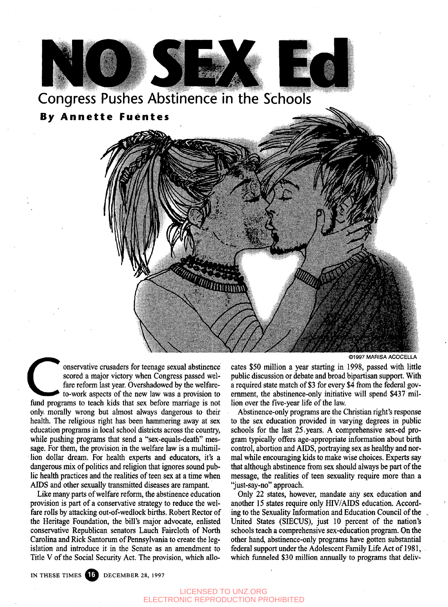

onservative crusaders for teenage sexual abstinence<br>scored a major victory when Congress passed wel-<br>fare reform last year. Overshadowed by the welfare-<br>to-work aspects of the new law was a provision to<br>fund programs to te onservative crusaders for teenage sexual abstinence scored a major victory when Congress passed welfare reform last year. Overshadowed by the welfareto-work aspects of the new law was a provision to only morally wrong but almost always dangerous to their health. The religious right has been hammering away at sex education programs in local school districts across the country, while pushing programs that send a "sex-equals-death" message. For them, the provision in the welfare law is a multimillion dollar dream. For health experts and educators, it's a dangerous mix of politics and religion that ignores sound public health practices and the realities of teen sex at a time when AIDS and other sexually transmitted diseases are rampant.

Like many parts of welfare reform, the abstinence education provision is part of a conservative strategy to reduce the welfare rolls by attacking out-of-wedlock births. Robert Rector of the Heritage Foundation, the bill's major advocate, enlisted conservative Republican senators Lauch Faircloth of North Carolina and Rick Santorum of Pennsylvania to create the legislation and introduce it in the Senate as an amendment to Title V of the Social Security Act. The provision, which allo**©1997 MARISA ACOCELLA**

cates \$50 million a year starting in 1998, passed with little public discussion or debate and broad bipartisan support. With a required state match of \$3 for every \$4 from the federal government, the abstinence-only initiative will spend \$437 million over the five-year life of the law.

Abstinence-only programs are the Christian right's response to the sex education provided in varying degrees in public schools for the last 25,years. A comprehensive sex-ed program typically offers age-appropriate information about birth control, abortion and AIDS, portraying sex as healthy and normal while encouraging kids to make wise choices. Experts say that although abstinence from sex should always be part of the message, the realities of teen sexuality require more than a "just-say-no" approach.

Only 22 states, however, mandate any sex education and another 15 states require only HIV/AIDS education. According to the Sexuality Information and Education Council of the United States (SIECUS), just 10 percent of the nation's schools teach a comprehensive sex-education program. On the other hand, abstinence-only programs have gotten substantial federal support under the Adolescent Family Life Act of 1981, which funneled \$30 million annually to programs that deliv-

IN THESE TIMES 16 DECEMBER 28, 1997

## LICENSED TO UNZ.ORG ELECTRONIC REPRODUCTION PROHIBITED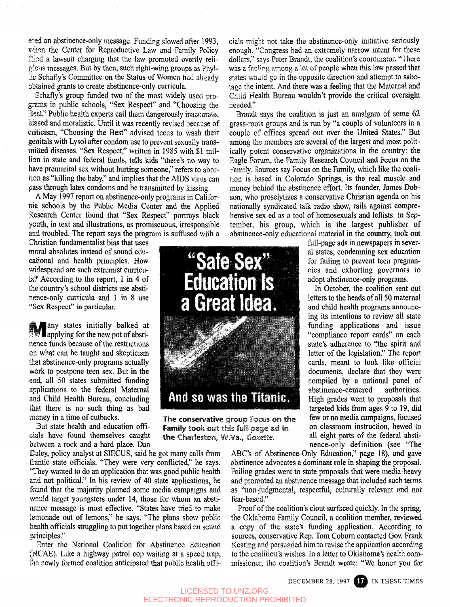gred an abstinence-only message. Funding slowed after 1993, when the Center for Reproductive Law and Family Policy filod a lawsuit charging that the law promoted overtly religious messages. But by then, such right-wing groups as Phyl- 'j.s Schafly's Committee on the Status of Women had already obtained grants to create abstinence-only curricula.

Schafly's group funded two of the most widely used programs in public schools, "Sex Respect" and "Choosing the Best." Public health experts call them dangerously inaccurate, biased and moralistic. Until it was recently revised because of criticism, "Choosing the Best" advised teens to wash their genitals with Lysol after condom use to prevent sexually transmitted diseases. "Sex Respect," written in 1985 with \$1 million in state and federal funds, tells kids "there's no way to have premarital sex without hurting someone," refers to abortion as "killing the baby," and implies that the AIDS virus can pass through latex condoms and be transmitted by kissing.

A May 1997 report on abstinence-only programs in California schools by the Public Media Center and the Applied Research Center found that "Sex Respect" portrays black youth, in text and illustrations, as promiscuous, irresponsible and troubled. The report says the program is suffused with a

Christian fundamentalist bias that uses moral absolutes instead of sound educational and health principles. How widespread are such extremist curricula? According to the report, 1 in 4 of the country's school districts use abstiaence-only curricula and 1 in 8 use "Sex Respect" in particular.

I applying for the new pot of abstiany states initially balked at nence funds because of the restrictions on what can be taught and skepticism that abstinence-only programs actually work to postpone teen sex. But in the end, all 50 states submitted funding applications to the federal Maternal and Child Health Bureau, concluding that there is no such thing as bad money in a time of cutbacks.

But state health and education officials have found themselves caught between a rock and a hard place. Dan

Daley, policy analyst at SIECUS, said he got many calls from frantic state officials. "They were very conflicted," he says. "They wanted to do an application that was good public health and not political." In his review of 40 state applications, he found that the majority planned some media campaigns and would target youngsters under 14, those for whom an abstinence message is most effective. "States have tried to make lemonade out of lemons," he says. "The plans show public health officials struggling to put together plans based en sound principles."

Bnter the National Coalition for Abstinence Education (NCAE). Like a highway patrol cop waiting at a speed trap, the newly formed coalition anticipated that public health officials might not take the abstinence-only initiative seriously enough. "Congress had an extremely narrow intent for these dollars," says Peter Brandt, the coalition's coordinator. "There was a feeling among a lot of people when this law passed that states would go in the opposite direction and attempt to sabotage the intent. And there was a feeling that the Maternal and Child Health Bureau wouldn't provide the critical oversight needed."

Brandt says the coalition is just an amalgam of some 62 grass-roots groups and is run by "a couple of volunteers in a couple of offices spread out over the United States." But among the members are several of the largest and most politically potent conservative organizations in the country: the Hagle Forum, the Family Research Council and Focus on the Family. Sources say Focus on the Family, which like the coalition is based in Colorado Springs, is the real muscle and money behind the abstinence effort. Its founder, James Dobson, who proselytizes a conservative Christian agenda on his nationally syndicated talk radio show, rails against comprehensive sex ed as a tool of homosexuals and leftists. In September, his group, which is the largest publisher of abstinence-only educational material in the country, took out

> full-page ads in newspapers in several states, condemning sex education for failing to prevent teen pregnancies and exhorting governors to adopt abstinence-only programs. In October, the coalition sent out letters to the heads of all 50 maternal and child health programs announcing its intentions to review all state funding applications and issue "compliance report cards" on each state's adherence to "the spirit and letter of the legislation." The report cards, meant to look like official documents, declare that they were compiled by a national panel of abstinence-centered authorities.



**The conservative** group Focus on **the Family** took out t his **full-page** ad in the Charleston, W.Va., Gazette.

nence-only definition (see "The ABC's of Abstinence-Only Education," page 18), and gave abstinence advocates a dominant role in shaping the proposal. Failing grades went to state proposals that were media-heavy and promoted an abstinence message that included such terms as "non-judgmental, respectful, culturally relevant and not fear-based."

abstinence-centered

High grades went to proposals that targeted kids from ages 9 to 19, did few or no media campaigns, focused on classroom instruction, hewed to all eight parts of the federal absti-

Proof of the coalition's clout surfaced quickly. In the spring, the Oklahoma Family Council, a coalition member, reviewed a copy of the state's funding application. According to sources, conservative Rep. Tom Coburn contacted Gov. Frank Keating and persuaded him to revise the application according to the coalition's wishes. In a letter to Oklahoma's health commissioner, the coalition's Brandt wrote: "We honor you for

DECEMBER 28, 1997 TWO IN THESE TIMES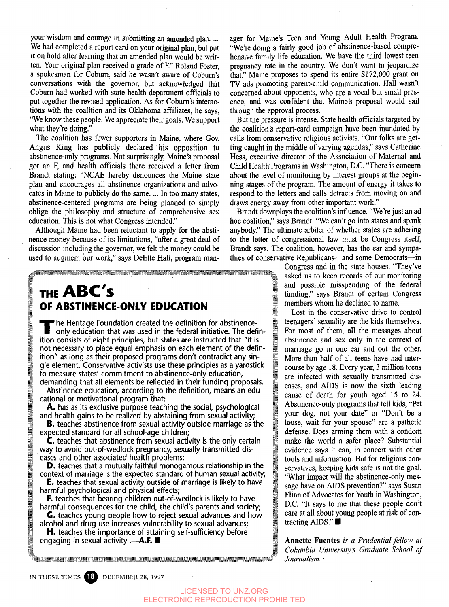We had completed a report card on your original plan, but put "We're doing a fairly good job of abstinence-based compreit on hold after learning that an amended plan would be written. Your original plan received a grade of F." Roland Foster, a spokesman for Coburn, said he wasn't aware of Coburn's conversations with the governor, but acknowledged that Coburn had worked with state health department officials to put together the revised application. As for Coburn's interactions with the coalition and its Oklahoma affiliates, he says, "We know these people. We appreciate their goals. We support what they're doing."

The coalition has fewer supporters in Maine, where Gov. Angus King has publicly declared his opposition to abstinence-only programs. Not surprisingly, Maine's proposal got an F, and health officials there received a letter from Brandt stating: "NCAE hereby denounces the Maine state plan and encourages all abstinence organizations and advocates in Maine to publicly do the same. ... In too many states, abstinence-centered programs are being planned to simply oblige the philosophy and structure of comprehensive sex education. This is not what Congress intended."

Although Maine had been reluctant to apply for the abstinence money because of its limitations, "after a great deal of discussion including the governor, we felt the money could be used to augment our work," says DeEtte Hall, program man-

## **THE ABC \$ OF ABSTINENCE-ONLY EDUCATION**

The Heritage Foundation created the definition for abstinence-<br>only education that was used in the federal initiative. The defition consists of eight principles, but states are instructed that "it is he Heritage Foundation created the definition for abstinenceonly education that was used in the federal initiative. The definnot necessary to place equal emphasis on each element of the definition" as long as their proposed programs don't contradict any single element. Conservative activists use these principles as a yardstick to measure states' commitment to abstinence-only education, demanding that all elements be reflected in their funding proposals.

Abstinence education, according to the definition, means an educational or motivational program that:

A. has as its exclusive purpose teaching the social, psychological and health gains to be realized by abstaining from sexual activity;

**B.** teaches abstinence from sexual activity outside marriage as the expected standard for all school-age children;

C. teaches that abstinence from sexual activity is the only certain way to avoid out-of-wedlock pregnancy, sexually transmitted diseases and other associated health problems;

D. teaches that a mutually faithful monogamous relationship in the context of marriage is the expected standard of human sexual activity;

**E.** teaches that sexual activity outside of marriage is likely to have harmful psychological and physical effects;

F. teaches that bearing children out-of-wedlock is likely to have harmful consequences for the child, the child's parents and society;

G. teaches young people how to reject sexual advances and how alcohol and drug use increases vulnerability to sexual advances;

H. teaches the importance of attaining self-sufficiency before<br>engaging in sexual activity .—A.F. •

your wisdom and courage in submitting an amended plan.... ager for Maine's Teen and Young Adult Health Program. hensive family life education. We have the third lowest teen pregnancy rate in the country. We don't want to jeopardize that." Maine proposes to spend its entire \$172,000 grant on TV ads promoting parent-child communication. Hall wasn't concerned about opponents, who are a vocal but small presence, and was confident that Maine's proposal would sail through the approval process.

> But the pressure is intense. State health officials targeted by the coalition's report-card campaign have been inundated by calls from conservative religious activists. "Our folks are getting caught in the middle of varying agendas," says Catherine Hess, executive director of the Association of Maternal and Child Health Programs in Washington, D.C. "There is concern about the level of monitoring by interest groups at the beginning stages of the program. The amount of energy it takes to respond to the letters and calls detracts from moving on and draws energy away from other important work."

> Brandt downplays the coalition's influence. "We're just an ad hoc coalition," says Brandt. "We can't go into states and spank anybody." The ultimate arbiter of whether states are adhering to the letter of congressional law must be Congress itself, Brandt says. The coalition, however, has the ear and sympathies of conservative Republicans—and some Democrats—in

> > Congress and in the state houses. "They've asked us to keep records of our monitoring and possible misspending of the federal funding," says Brandt of certain Congress members whom he declined to name.

> > Lost in the conservative drive to control teenagers' sexuality are the kids themselves. For most of them, all the messages about abstinence and sex only in the context of marriage go in one ear and out the other. More than half of all teens have had intercourse by age 18. Every year, 3 million teens are infected with sexually transmitted diseases, and AIDS is now the sixth leading cause of death for youth aged 15 to 24. Abstinence-only programs that tell kids, "Pet your dog, not your date" or "Don't be a louse, wait for your spouse" are a pathetic defense. Does arming them with a condom make the world a safer place? Substantial evidence says it can, in concert with other tools and information. But for religious conservatives, keeping kids safe is not the goal. "What impact will the abstinence-only message have on AIDS prevention?" says Susan Flinn of Advocates for Youth in Washington, D.C. "It says to me that these people don't care at all about young people at risk of contracting AIDS." ■

> > **Annette Fuentes** *is a Prudential fellow at Columbia University's Graduate School of Journalism. •*

IN THESE TIMES **B** DECEMBER 28, 1997